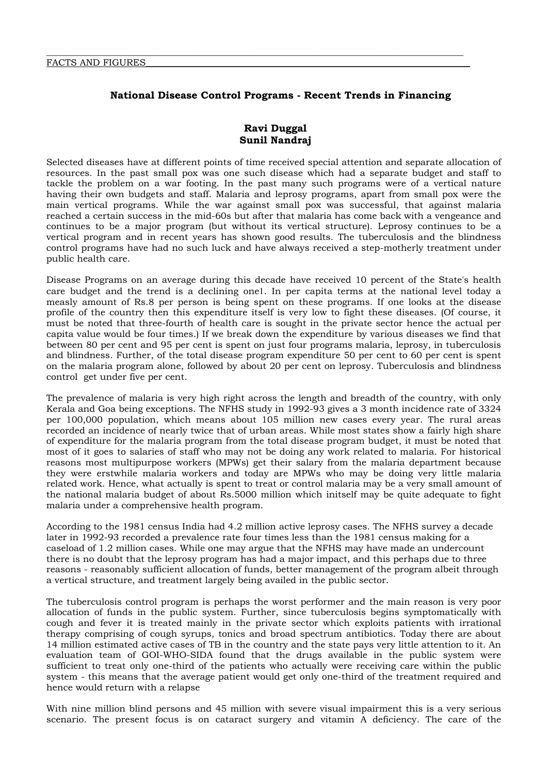# **National Disease Control Programs - Recent Trends in Financing**

# **Ravi Duggal Sunil Nandraj**

Selected diseases have at different points of time received special attention and separate allocation of resources. In the past small pox was one such disease which had a separate budget and staff to tackle the problem on a war footing. In the past many such programs were of a vertical nature having their own budgets and staff. Malaria and leprosy programs, apart from small pox were the main vertical programs. While the war against small pox was successful, that against malaria reached a certain success in the mid-60s but after that malaria has come back with a vengeance and continues to be a major program (but without its vertical structure). Leprosy continues to be a vertical program and in recent years has shown good results. The tuberculosis and the blindness control programs have had no such luck and have always received a step-motherly treatment under public health care.

Disease Programs on an average during this decade have received 10 percent of the State's health care budget and the trend is a declining one1. In per capita terms at the national level today a measly amount of Rs.8 per person is being spent on these programs. If one looks at the disease profile of the country then this expenditure itself is very low to fight these diseases. (Of course, it must be noted that three-fourth of health care is sought in the private sector hence the actual per capita value would be four times.) If we break down the expenditure by various diseases we find that between 80 per cent and 95 per cent is spent on just four programs malaria, leprosy, in tuberculosis and blindness. Further, of the total disease program expenditure 50 per cent to 60 per cent is spent on the malaria program alone, followed by about 20 per cent on leprosy. Tuberculosis and blindness control get under five per cent.

The prevalence of malaria is very high right across the length and breadth of the country, with only Kerala and Goa being exceptions. The NFHS study in 1992-93 gives a 3 month incidence rate of 3324 per 100,000 population, which means about 105 million new cases every year. The rural areas recorded an incidence of nearly twice that of urban areas. While most states show a fairly high share of expenditure for the malaria program from the total disease program budget, it must be noted that most of it goes to salaries of staff who may not be doing any work related to malaria. For historical reasons most multipurpose workers (MPWs) get their salary from the malaria department because they were erstwhile malaria workers and today are MPWs who may be doing very little malaria related work. Hence, what actually is spent to treat or control malaria may be a very small amount of the national malaria budget of about Rs.5000 million which initself may be quite adequate to fight malaria under a comprehensive health program.

According to the 1981 census India had 4.2 million active leprosy cases. The NFHS survey a decade later in 1992-93 recorded a prevalence rate four times less than the 1981 census making for a caseload of 1.2 million cases. While one may argue that the NFHS may have made an undercount there is no doubt that the leprosy program has had a major impact, and this perhaps due to three reasons - reasonably sufficient allocation of funds, better management of the program albeit through a vertical structure, and treatment largely being availed in the public sector.

The tuberculosis control program is perhaps the worst performer and the main reason is very poor allocation of funds in the public system. Further, since tuberculosis begins symptomatically with cough and fever it is treated mainly in the private sector which exploits patients with irrational therapy comprising of cough syrups, tonics and broad spectrum antibiotics. Today there are about 14 million estimated active cases of TB in the country and the state pays very little attention to it. An evaluation team of GOI-WHO-SIDA found that the drugs available in the public system were sufficient to treat only one-third of the patients who actually were receiving care within the public system - this means that the average patient would get only one-third of the treatment required and hence would return with a relapse

With nine million blind persons and 45 million with severe visual impairment this is a very serious scenario. The present focus is on cataract surgery and vitamin A deficiency. The care of the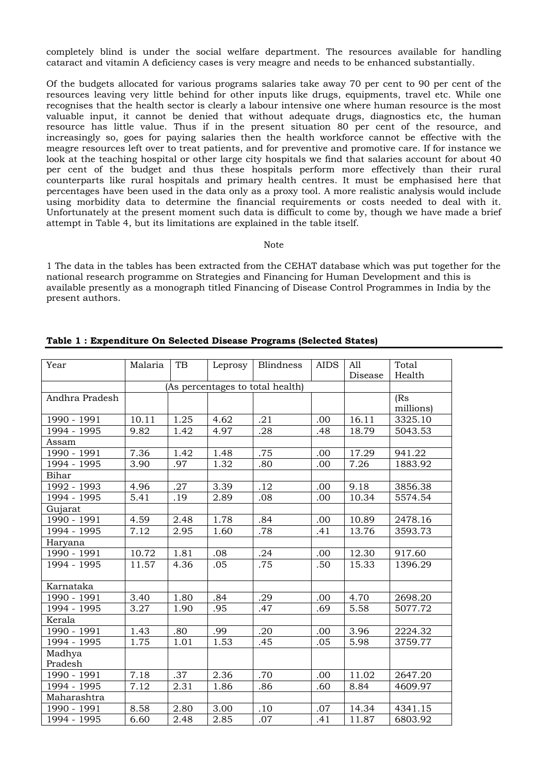completely blind is under the social welfare department. The resources available for handling cataract and vitamin A deficiency cases is very meagre and needs to be enhanced substantially.

Of the budgets allocated for various programs salaries take away 70 per cent to 90 per cent of the resources leaving very little behind for other inputs like drugs, equipments, travel etc. While one recognises that the health sector is clearly a labour intensive one where human resource is the most valuable input, it cannot be denied that without adequate drugs, diagnostics etc, the human resource has little value. Thus if in the present situation 80 per cent of the resource, and increasingly so, goes for paying salaries then the health workforce cannot be effective with the meagre resources left over to treat patients, and for preventive and promotive care. If for instance we look at the teaching hospital or other large city hospitals we find that salaries account for about 40 per cent of the budget and thus these hospitals perform more effectively than their rural counterparts like rural hospitals and primary health centres. It must be emphasised here that percentages have been used in the data only as a proxy tool. A more realistic analysis would include using morbidity data to determine the financial requirements or costs needed to deal with it. Unfortunately at the present moment such data is difficult to come by, though we have made a brief attempt in Table 4, but its limitations are explained in the table itself.

#### Note

1 The data in the tables has been extracted from the CEHAT database which was put together for the national research programme on Strategies and Financing for Human Development and this is available presently as a monograph titled Financing of Disease Control Programmes in India by the present authors.

| Year                                                                                                               | Malaria                                       | TB                                                           | Leprosy                                      | <b>Blindness</b>                                           | <b>AIDS</b>              | All<br>Disease                  | Total<br>Health                                     |
|--------------------------------------------------------------------------------------------------------------------|-----------------------------------------------|--------------------------------------------------------------|----------------------------------------------|------------------------------------------------------------|--------------------------|---------------------------------|-----------------------------------------------------|
|                                                                                                                    |                                               | (As percentages to total health)                             |                                              |                                                            |                          |                                 |                                                     |
| Andhra Pradesh                                                                                                     |                                               |                                                              |                                              |                                                            |                          |                                 | (Rs)<br>millions)                                   |
| 1990 - 1991                                                                                                        | 10.11                                         | 1.25                                                         | 4.62                                         | .21                                                        | .00                      | 16.11                           | 3325.10                                             |
| 1994 - 1995                                                                                                        | 9.82                                          | 1.42                                                         | 4.97                                         | .28                                                        | .48                      | 18.79                           | 5043.53                                             |
| Assam                                                                                                              |                                               |                                                              |                                              |                                                            |                          |                                 |                                                     |
| 1990 - 1991                                                                                                        | 7.36                                          | 1.42                                                         | 1.48                                         | .75                                                        | .00                      | 17.29                           | 941.22                                              |
| 1994 - 1995                                                                                                        | 3.90                                          | .97                                                          | 1.32                                         | .80                                                        | .00                      | 7.26                            | 1883.92                                             |
| Bihar                                                                                                              |                                               |                                                              |                                              |                                                            |                          |                                 |                                                     |
| 1992 - 1993                                                                                                        | 4.96                                          |                                                              |                                              |                                                            | .00                      | 9.18                            | 3856.38                                             |
| 1994 - 1995                                                                                                        | 5.41                                          | .19                                                          | 2.89                                         | .08                                                        | .00                      | 10.34                           | 5574.54                                             |
| Gujarat                                                                                                            |                                               |                                                              |                                              |                                                            |                          |                                 |                                                     |
|                                                                                                                    |                                               | 2.48                                                         |                                              |                                                            | .00                      | 10.89                           |                                                     |
| 1994 - 1995                                                                                                        | 7.12                                          | 2.95                                                         | 1.60                                         | .78                                                        | .41                      | 13.76                           | 3593.73                                             |
| Haryana                                                                                                            |                                               |                                                              |                                              |                                                            |                          |                                 |                                                     |
|                                                                                                                    |                                               | 1.81                                                         | .08                                          | .24                                                        | .00                      | 12.30                           | 917.60                                              |
| 1994 - 1995                                                                                                        | 11.57                                         | 4.36                                                         | .05                                          |                                                            | .50                      | 15.33                           | 1396.29                                             |
| Karnataka                                                                                                          |                                               |                                                              |                                              |                                                            |                          |                                 |                                                     |
| 1990 - 1991                                                                                                        | 3.40                                          | 1.80                                                         | .84                                          | .29                                                        | .00                      | 4.70                            | 2698.20                                             |
| 1994 - 1995                                                                                                        | 3.27                                          | 1.90                                                         | .95                                          | .47                                                        | .69                      | 5.58                            | 5077.72                                             |
| Kerala                                                                                                             |                                               |                                                              |                                              |                                                            |                          |                                 |                                                     |
| 1990 - 1991                                                                                                        | 1.43                                          | .80                                                          | .99                                          | .20                                                        | .00                      | 3.96                            | 2224.32                                             |
| 1994 - 1995                                                                                                        | 1.75                                          | 1.01                                                         | 1.53                                         | .45                                                        | .05                      | 5.98                            | 3759.77                                             |
| Madhya                                                                                                             |                                               |                                                              |                                              |                                                            |                          |                                 |                                                     |
|                                                                                                                    |                                               |                                                              |                                              |                                                            |                          |                                 |                                                     |
|                                                                                                                    |                                               |                                                              |                                              |                                                            |                          |                                 |                                                     |
|                                                                                                                    |                                               |                                                              |                                              |                                                            |                          |                                 |                                                     |
|                                                                                                                    |                                               |                                                              |                                              |                                                            |                          |                                 |                                                     |
|                                                                                                                    |                                               |                                                              |                                              |                                                            |                          |                                 |                                                     |
| 1990 - 1991<br>$1990 - 1991$<br>Pradesh<br>1990 - 1991<br>1994 - 1995<br>Maharashtra<br>1990 - 1991<br>1994 - 1995 | 4.59<br>10.72<br>7.18<br>7.12<br>8.58<br>6.60 | $\overline{.27}$<br>$\overline{.37}$<br>2.31<br>2.80<br>2.48 | 3.39<br>1.78<br>2.36<br>1.86<br>3.00<br>2.85 | $\overline{.12}$<br>.84<br>.75<br>.70<br>.86<br>.10<br>.07 | .00<br>.60<br>.07<br>.41 | 11.02<br>8.84<br>14.34<br>11.87 | 2478.16<br>2647.20<br>4609.97<br>4341.15<br>6803.92 |

## **Table 1 : Expenditure On Selected Disease Programs (Selected States)**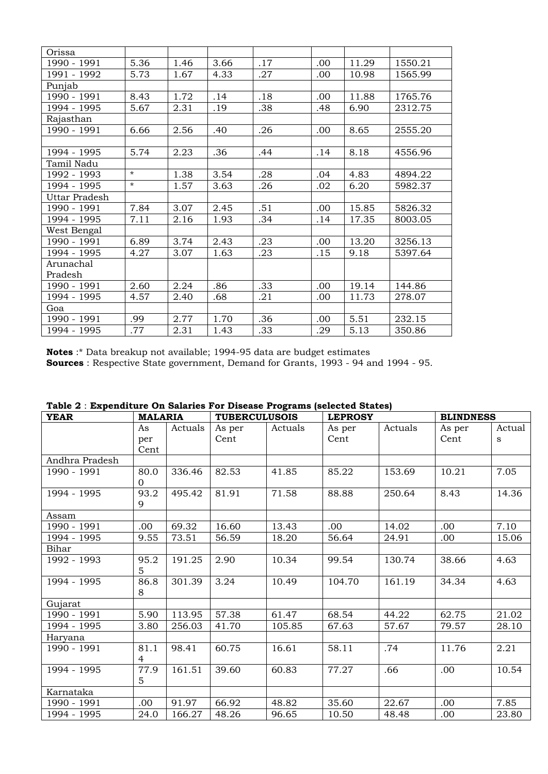| Orissa        |         |      |      |     |      |       |         |
|---------------|---------|------|------|-----|------|-------|---------|
| 1990 - 1991   | 5.36    | 1.46 | 3.66 | .17 | .00  | 11.29 | 1550.21 |
| 1991 - 1992   | 5.73    | 1.67 | 4.33 | .27 | .00  | 10.98 | 1565.99 |
| Punjab        |         |      |      |     |      |       |         |
| 1990 - 1991   | 8.43    | 1.72 | .14  | .18 | .00  | 11.88 | 1765.76 |
| 1994 - 1995   | 5.67    | 2.31 | .19  | .38 | .48  | 6.90  | 2312.75 |
| Rajasthan     |         |      |      |     |      |       |         |
| 1990 - 1991   | 6.66    | 2.56 | .40  | .26 | .00. | 8.65  | 2555.20 |
|               |         |      |      |     |      |       |         |
| 1994 - 1995   | 5.74    | 2.23 | .36  | .44 | .14  | 8.18  | 4556.96 |
| Tamil Nadu    |         |      |      |     |      |       |         |
| 1992 - 1993   | $\star$ | 1.38 | 3.54 | .28 | .04  | 4.83  | 4894.22 |
| 1994 - 1995   | $\star$ | 1.57 | 3.63 | .26 | .02  | 6.20  | 5982.37 |
| Uttar Pradesh |         |      |      |     |      |       |         |
| 1990 - 1991   | 7.84    | 3.07 | 2.45 | .51 | .00. | 15.85 | 5826.32 |
| 1994 - 1995   | 7.11    | 2.16 | 1.93 | .34 | .14  | 17.35 | 8003.05 |
| West Bengal   |         |      |      |     |      |       |         |
| 1990 - 1991   | 6.89    | 3.74 | 2.43 | .23 | .00  | 13.20 | 3256.13 |
| 1994 - 1995   | 4.27    | 3.07 | 1.63 | .23 | .15  | 9.18  | 5397.64 |
| Arunachal     |         |      |      |     |      |       |         |
| Pradesh       |         |      |      |     |      |       |         |
| 1990 - 1991   | 2.60    | 2.24 | .86  | .33 | .00  | 19.14 | 144.86  |
| 1994 - 1995   | 4.57    | 2.40 | .68  | .21 | .00  | 11.73 | 278.07  |
| Goa           |         |      |      |     |      |       |         |
| 1990 - 1991   | .99     | 2.77 | 1.70 | .36 | .00  | 5.51  | 232.15  |
| 1994 - 1995   | .77     | 2.31 | 1.43 | .33 | .29  | 5.13  | 350.86  |

**Notes** :\* Data breakup not available; 1994-95 data are budget estimates

**Sources** : Respective State government, Demand for Grants, 1993 - 94 and 1994 - 95.

| <b>YEAR</b>    | <b>MALARIA</b>         |         | <b>TUBERCULUSOIS</b> |         | <b>LEPROSY</b> |         | <b>BLINDNESS</b> |             |
|----------------|------------------------|---------|----------------------|---------|----------------|---------|------------------|-------------|
|                | As<br>per<br>Cent      | Actuals | As per<br>Cent       | Actuals | As per<br>Cent | Actuals | As per<br>Cent   | Actual<br>s |
| Andhra Pradesh |                        |         |                      |         |                |         |                  |             |
| 1990 - 1991    | 80.0<br>$\Omega$       | 336.46  | 82.53                | 41.85   | 85.22          | 153.69  | 10.21            | 7.05        |
| 1994 - 1995    | 93.2<br>9              | 495.42  | 81.91                | 71.58   | 88.88          | 250.64  | 8.43             | 14.36       |
| Assam          |                        |         |                      |         |                |         |                  |             |
| 1990 - 1991    | .00.                   | 69.32   | 16.60                | 13.43   | .00            | 14.02   | .00              | 7.10        |
| 1994 - 1995    | 9.55                   | 73.51   | 56.59                | 18.20   | 56.64          | 24.91   | .00              | 15.06       |
| Bihar          |                        |         |                      |         |                |         |                  |             |
| 1992 - 1993    | 95.2<br>5              | 191.25  | 2.90                 | 10.34   | 99.54          | 130.74  | 38.66            | 4.63        |
| 1994 - 1995    | 86.8<br>8              | 301.39  | 3.24                 | 10.49   | 104.70         | 161.19  | 34.34            | 4.63        |
| Gujarat        |                        |         |                      |         |                |         |                  |             |
| 1990 - 1991    | 5.90                   | 113.95  | 57.38                | 61.47   | 68.54          | 44.22   | 62.75            | 21.02       |
| 1994 - 1995    | 3.80                   | 256.03  | 41.70                | 105.85  | 67.63          | 57.67   | 79.57            | 28.10       |
| Haryana        |                        |         |                      |         |                |         |                  |             |
| 1990 - 1991    | 81.1<br>$\overline{4}$ | 98.41   | 60.75                | 16.61   | 58.11          | .74     | 11.76            | 2.21        |
| 1994 - 1995    | 77.9<br>5              | 161.51  | 39.60                | 60.83   | 77.27          | .66     | .00              | 10.54       |
| Karnataka      |                        |         |                      |         |                |         |                  |             |
| 1990 - 1991    | .00                    | 91.97   | 66.92                | 48.82   | 35.60          | 22.67   | .00              | 7.85        |
| 1994 - 1995    | 24.0                   | 166.27  | 48.26                | 96.65   | 10.50          | 48.48   | .00              | 23.80       |

|  |  | Table 2 : Expenditure On Salaries For Disease Programs (selected States) |  |  |  |  |  |  |  |  |
|--|--|--------------------------------------------------------------------------|--|--|--|--|--|--|--|--|
|--|--|--------------------------------------------------------------------------|--|--|--|--|--|--|--|--|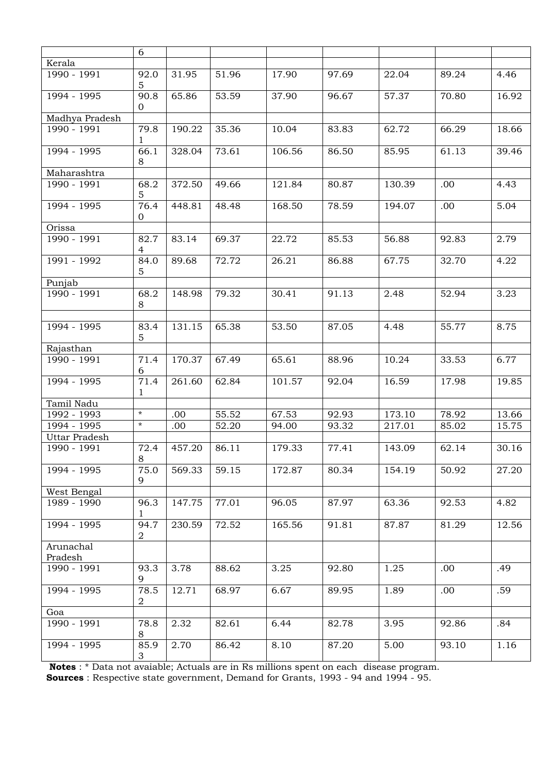|                      | 6                      |        |       |        |       |        |       |       |
|----------------------|------------------------|--------|-------|--------|-------|--------|-------|-------|
| Kerala               |                        |        |       |        |       |        |       |       |
| 1990 - 1991          | 92.0<br>5              | 31.95  | 51.96 | 17.90  | 97.69 | 22.04  | 89.24 | 4.46  |
| 1994 - 1995          | 90.8<br>0              | 65.86  | 53.59 | 37.90  | 96.67 | 57.37  | 70.80 | 16.92 |
| Madhya Pradesh       |                        |        |       |        |       |        |       |       |
| 1990 - 1991          | 79.8<br>1              | 190.22 | 35.36 | 10.04  | 83.83 | 62.72  | 66.29 | 18.66 |
| 1994 - 1995          | 66.1<br>8              | 328.04 | 73.61 | 106.56 | 86.50 | 85.95  | 61.13 | 39.46 |
| Maharashtra          |                        |        |       |        |       |        |       |       |
| 1990 - 1991          | 68.2<br>5              | 372.50 | 49.66 | 121.84 | 80.87 | 130.39 | .00.  | 4.43  |
| 1994 - 1995          | 76.4<br>0              | 448.81 | 48.48 | 168.50 | 78.59 | 194.07 | .00   | 5.04  |
| Orissa               |                        |        |       |        |       |        |       |       |
| 1990 - 1991          | 82.7<br>4              | 83.14  | 69.37 | 22.72  | 85.53 | 56.88  | 92.83 | 2.79  |
| 1991 - 1992          | 84.0<br>5              | 89.68  | 72.72 | 26.21  | 86.88 | 67.75  | 32.70 | 4.22  |
| Punjab               |                        |        |       |        |       |        |       |       |
| 1990 - 1991          | 68.2<br>8              | 148.98 | 79.32 | 30.41  | 91.13 | 2.48   | 52.94 | 3.23  |
|                      |                        |        |       |        |       |        |       |       |
| 1994 - 1995          | 83.4<br>5              | 131.15 | 65.38 | 53.50  | 87.05 | 4.48   | 55.77 | 8.75  |
| Rajasthan            |                        |        |       |        |       |        |       |       |
| 1990 - 1991          | 71.4<br>6              | 170.37 | 67.49 | 65.61  | 88.96 | 10.24  | 33.53 | 6.77  |
| 1994 - 1995          | 71.4<br>1              | 261.60 | 62.84 | 101.57 | 92.04 | 16.59  | 17.98 | 19.85 |
| Tamil Nadu           |                        |        |       |        |       |        |       |       |
| 1992 - 1993          | $\star$                | .00    | 55.52 | 67.53  | 92.93 | 173.10 | 78.92 | 13.66 |
| 1994 - 1995          | $^\star$               | .00    | 52.20 | 94.00  | 93.32 | 217.01 | 85.02 | 15.75 |
| <b>Uttar Pradesh</b> |                        |        |       |        |       |        |       |       |
| 1990 - 1991          | 72.4<br>8              | 457.20 | 86.11 | 179.33 | 77.41 | 143.09 | 62.14 | 30.16 |
| 1994 - 1995          | 75.0<br>9              | 569.33 | 59.15 | 172.87 | 80.34 | 154.19 | 50.92 | 27.20 |
| West Bengal          |                        |        |       |        |       |        |       |       |
| 1989 - 1990          | 96.3<br>1              | 147.75 | 77.01 | 96.05  | 87.97 | 63.36  | 92.53 | 4.82  |
| 1994 - 1995          | 94.7<br>$\overline{2}$ | 230.59 | 72.52 | 165.56 | 91.81 | 87.87  | 81.29 | 12.56 |
| Arunachal<br>Pradesh |                        |        |       |        |       |        |       |       |
| 1990 - 1991          | 93.3<br>9              | 3.78   | 88.62 | 3.25   | 92.80 | 1.25   | .00   | .49   |
| 1994 - 1995          | 78.5<br>2              | 12.71  | 68.97 | 6.67   | 89.95 | 1.89   | .00   | .59   |
| Goa                  |                        |        |       |        |       |        |       |       |
| 1990 - 1991          | 78.8<br>8              | 2.32   | 82.61 | 6.44   | 82.78 | 3.95   | 92.86 | .84   |
| 1994 - 1995          | 85.9<br>$\mathfrak{S}$ | 2.70   | 86.42 | 8.10   | 87.20 | 5.00   | 93.10 | 1.16  |

**Notes** : \* Data not avaiable; Actuals are in Rs millions spent on each disease program.

**Sources** : Respective state government, Demand for Grants, 1993 - 94 and 1994 - 95.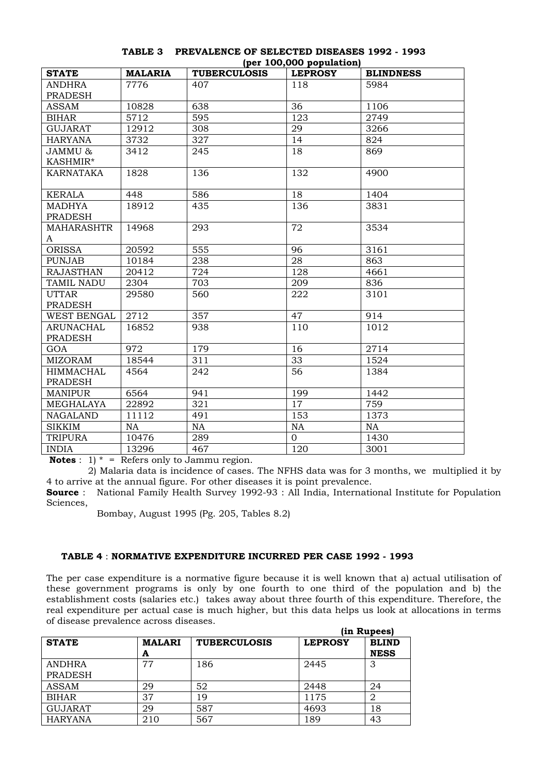|                   |                |                     | $(\mathbf{P}^{\mathbf{C}} \cdot \mathbf{P}^{\mathbf{C}})$ |                  |
|-------------------|----------------|---------------------|-----------------------------------------------------------|------------------|
| <b>STATE</b>      | <b>MALARIA</b> | <b>TUBERCULOSIS</b> | <b>LEPROSY</b>                                            | <b>BLINDNESS</b> |
| <b>ANDHRA</b>     | 7776           | 407                 | 118                                                       | 5984             |
| <b>PRADESH</b>    |                |                     |                                                           |                  |
| <b>ASSAM</b>      | 10828          | 638                 | 36                                                        | 1106             |
| <b>BIHAR</b>      | 5712           | 595                 | 123                                                       | 2749             |
| <b>GUJARAT</b>    | 12912          | 308                 | 29                                                        | 3266             |
| <b>HARYANA</b>    | 3732           | 327                 | 14                                                        | 824              |
| JAMMU &           | 3412           | 245                 | 18                                                        | 869              |
| KASHMIR*          |                |                     |                                                           |                  |
| KARNATAKA         | 1828           | 136                 | 132                                                       | 4900             |
|                   |                |                     |                                                           |                  |
| <b>KERALA</b>     | 448            | 586                 | 18                                                        | 1404             |
| <b>MADHYA</b>     | 18912          | 435                 | 136                                                       | 3831             |
| <b>PRADESH</b>    |                |                     |                                                           |                  |
| <b>MAHARASHTR</b> | 14968          | 293                 | 72                                                        | 3534             |
| A                 |                |                     |                                                           |                  |
| <b>ORISSA</b>     | 20592          | 555                 | 96                                                        | 3161             |
| <b>PUNJAB</b>     | 10184          | 238                 | 28                                                        | 863              |
| <b>RAJASTHAN</b>  | 20412          | 724                 | 128                                                       | 4661             |
| TAMIL NADU        | 2304           | 703                 | 209                                                       | 836              |
| <b>UTTAR</b>      | 29580          | 560                 | 222                                                       | 3101             |
| <b>PRADESH</b>    |                |                     |                                                           |                  |
| WEST BENGAL       | 2712           | 357                 | 47                                                        | 914              |
| <b>ARUNACHAL</b>  | 16852          | 938                 | 110                                                       | 1012             |
| <b>PRADESH</b>    |                |                     |                                                           |                  |
| GOA               | 972            | 179                 | 16                                                        | 2714             |
| <b>MIZORAM</b>    | 18544          | 311                 | 33                                                        | 1524             |
| <b>HIMMACHAL</b>  | 4564           | 242                 | 56                                                        | 1384             |
| <b>PRADESH</b>    |                |                     |                                                           |                  |
| <b>MANIPUR</b>    | 6564           | 941                 | 199                                                       | 1442             |
| MEGHALAYA         | 22892          | 321                 | 17                                                        | 759              |
| <b>NAGALAND</b>   | 11112          | 491                 | 153                                                       | 1373             |
| $\rm{SIKKIM}$     | <b>NA</b>      | NA                  | NA                                                        | <b>NA</b>        |
| <b>TRIPURA</b>    | 10476          | 289                 | $\mathbf{0}$                                              | 1430             |
| <b>INDIA</b>      | 13296          | 467                 | 120                                                       | 3001             |

## **TABLE 3 PREVALENCE OF SELECTED DISEASES 1992 - 1993 (per 100,000 population)**

**Notes** :  $1$ <sup>\*</sup> = Refers only to Jammu region.

 2) Malaria data is incidence of cases. The NFHS data was for 3 months, we multiplied it by 4 to arrive at the annual figure. For other diseases it is point prevalence.

**Source** : National Family Health Survey 1992-93 : All India, International Institute for Population Sciences,

Bombay, August 1995 (Pg. 205, Tables 8.2)

### **TABLE 4** : **NORMATIVE EXPENDITURE INCURRED PER CASE 1992 - 1993**

The per case expenditure is a normative figure because it is well known that a) actual utilisation of these government programs is only by one fourth to one third of the population and b) the establishment costs (salaries etc.) takes away about three fourth of this expenditure. Therefore, the real expenditure per actual case is much higher, but this data helps us look at allocations in terms of disease prevalence across diseases.

|                                 |                    |                     |                | (in Rupees)                 |  |  |  |
|---------------------------------|--------------------|---------------------|----------------|-----------------------------|--|--|--|
| <b>STATE</b>                    | <b>MALARI</b><br>A | <b>TUBERCULOSIS</b> | <b>LEPROSY</b> | <b>BLIND</b><br><b>NESS</b> |  |  |  |
| <b>ANDHRA</b><br><b>PRADESH</b> | 77                 | 186                 | 2445           | 3                           |  |  |  |
| ASSAM                           | 29                 | 52                  | 2448           | 24                          |  |  |  |
| <b>BIHAR</b>                    | 37                 | 19                  | 1175           | 2                           |  |  |  |
| <b>GUJARAT</b>                  | 29                 | 587                 | 4693           | 18                          |  |  |  |
| <b>HARYANA</b>                  | 210                | 567                 | 189            | 43                          |  |  |  |